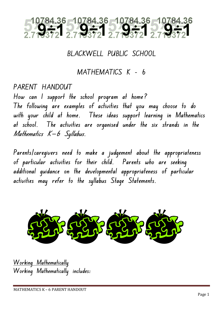

**BLACKWELL PUBLIC SCHOOL**

**MATHEMATICS K – 6**

**PARENT HANDOUT**

**How can I support the school program at home? The following are examples of activities that you may choose to do with your child at home. These ideas support learning in Mathematics at school. The activities are organised under the six strands in the Mathematics K-6 Syllabus.**

**Parents/caregivers need to make a judgement about the appropriateness of particular activities for their child. Parents who are seeking additional guidance on the developmental appropriateness of particular activities may refer to the syllabus Stage Statements.**



**Working Mathematically Working Mathematically includes:**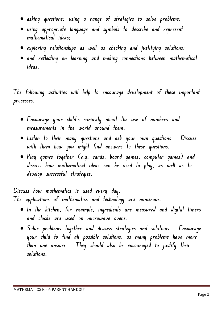- **asking questions; using a range of strategies to solve problems;**
- **using appropriate language and symbols to describe and represent mathematical ideas;**
- **exploring relationships as well as checking and justifying solutions;**
- **and reflecting on learning and making connections between mathematical ideas.**

**The following activities will help to encourage development of these important processes.**

- **Encourage your child's curiosity about the use of numbers and measurements in the world around them.**
- **Listen to their many questions and ask your own questions. Discuss with them how you might find answers to these questions.**
- **Play games together (e.g. cards, board games, computer games) and discuss how mathematical ideas can be used to play, as well as to develop successful strategies.**

**Discuss how mathematics is used every day. The applications of mathematics and technology are numerous.** 

- **In the kitchen, for example, ingredients are measured and digital timers and clocks are used on microwave ovens.**
- **Solve problems together and discuss strategies and solutions. Encourage your child to find all possible solutions, as many problems have more than one answer. They should also be encouraged to justify their solutions.**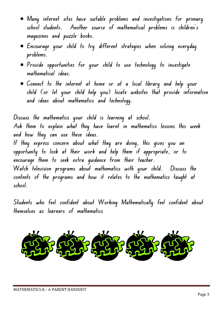- **Many internet sites have suitable problems and investigations for primary school students. Another source of mathematical problems is children's magazines and puzzle books.**
- **Encourage your child to try different strategies when solving everyday problems.**
- **Provide opportunities for your child to use technology to investigate mathematical ideas.**
- **Connect to the internet at home or at a local library and help your child (or let your child help you) locate websites that provide information and ideas about mathematics and technology.**

**Discuss the mathematics your child is learning at school. Ask them to explain what they have learnt in mathematics lessons this week and how they can use these ideas. If they express concern about what they are doing, this gives you an opportunity to look at their work and help them if appropriate, or to encourage them to seek extra guidance from their teacher. Watch television programs about mathematics with your child. Discuss the contents of the programs and how it relates to the mathematics taught at school.**

**Students who feel confident about Working Mathematically feel confident about themselves as learners of mathematics**

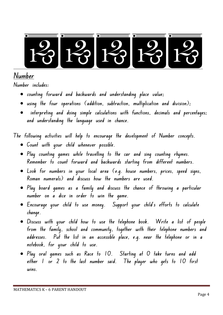

## **Number**

**Number includes:** 

- **counting forward and backwards and understanding place value;**
- **using the four operations (addition, subtraction, multiplication and division);**
- **interpreting and doing simple calculations with functions, decimals and percentages; and understanding the language used in chance.**

**The following activities will help to encourage the development of Number concepts.**

- **Count with your child whenever possible.**
- **Play counting games while travelling to the car and sing counting rhymes. Remember to count forward and backwards starting from different numbers.**
- **Look for numbers in your local area (e.g. house numbers, prices, speed signs, Roman numerals) and discuss how the numbers are used.**
- **Play board games as a family and discuss the chance of throwing a particular number on a dice in order to win the game.**
- **Encourage your child to use money. Support your child's efforts to calculate change.**
- **Discuss with your child how to use the telephone book. Write a list of people from the family, school and community, together with their telephone numbers and addresses. Put the list in an accessible place, e.g. near the telephone or in a notebook, for your child to use.**
- **Play oral games such as Race to 10. Starting at 0 take turns and add either 1 or 2 to the last number said. The player who gets to 10 first wins.**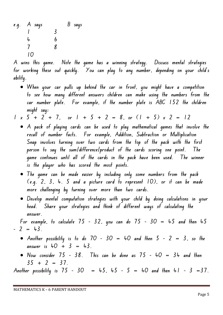**e.g. A says B says 1 3 4 6 7 8 10**

**A wins this game. Note the game has a winning strategy. Discuss mental strategies for working these out quickly. You can play to any number, depending on your child's ability.**

- **When your car pulls up behind the car in front, you might have a competition to see how many different answers children can make using the numbers from the car number plate. For example, if the number plate is ABC 152 the children might say:**
- $1 \times 5 + 2 + 7$ , or  $1 + 5 + 2 = 8$ , or  $(1 + 5) \times 2 = 12$ 
	- **A pack of playing cards can be used to play mathematical games that involve the recall of number facts. For example, Addition, Subtraction or Multiplication Snap involves turning over two cards from the top of the pack with the first person to say the sum/difference/product of the cards scoring one point. The game continues until all of the cards in the pack have been used. The winner is the player who has scored the most points.**
	- **The game can be made easier by including only some numbers from the pack (e.g. 2, 3, 4. 5 and a picture card to represent 10), or it can be made more challenging by turning over more than two cards.**
	- **Develop mental computation strategies with your child by doing calculations in your head. Share your strategies and think of different ways of calculating the answer.**

**For example, to calculate 75 – 32, you can do 75 – 30 = 45 and then 45 – 2 = 43.**

- **Another possibility is to do 70 – 30 = 40 and then 5 – 2 = 3, so the**  answer is  $40 + 3 = 43$ .
- **Now consider 75 – 38. This can be done as 75 – 40 = 34 and then 35 + 2 = 37.**

**Another possibility is 75 – 30 = 45, 45 – 5 = 40 and then 41 – 3 =37.**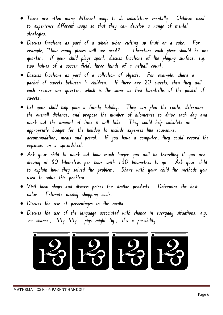- **There are often many different ways to do calculations mentally. Children need to experience different ways so that they can develop a range of mental strategies.**
- **Discuss fractions as part of a whole when cutting up fruit or a cake. For example, "How many pieces will we need? ... Therefore each piece should be one quarter. If your child plays sport, discuss fractions of the playing surface, e.g. two halves of a soccer field, three thirds of a netball court.**
- **Discuss fractions as part of a collection of objects. For example, share a packet of sweets between 4 children. If there are 20 sweets, then they will each receive one quarter, which is the same as five twentieths of the packet of sweets.**
- **Let your child help plan a family holiday. They can plan the route, determine the overall distance, and propose the number of kilometres to drive each day and work out the amount of time it will take. They could help calculate an appropriate budget for the holiday to include expenses like souvenirs, accommodation, meals and petrol. If you have a computer, they could record the expenses on a spreadsheet.**
- **Ask your child to work out how much longer you will be travelling if you are driving at 80 kilometres per hour with 130 kilometres to go. Ask your child to explain how they solved the problem. Share with your child the methods you used to solve this problem.**
- **Visit local shops and discuss prices for similar products. Determine the best value. Estimate weekly shopping costs.**
- **Discuss the use of percentages in the media.**
- **Discuss the use of the language associated with chance in everyday situations, e.g. 'no chance', 'fifty fifty', 'pigs might fly', 'it's a possibility'.**

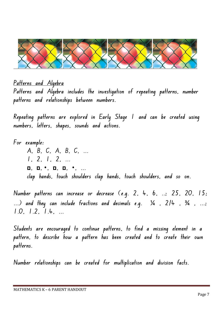

**Patterns and Algebra Patterns and Algebra includes the investigation of repeating patterns, number patterns and relationships between numbers.**

**Repeating patterns are explored in Early Stage 1 and can be created using numbers, letters, shapes, sounds and actions.**

**For example: A, B, C, A, B, C, ... 1, 2, 1, 2, ... ... ,• ,ם ,ם ,• ,ם ,ם clap hands, touch shoulders clap hands, touch shoulders, and so on.**

**Number patterns can increase or decrease (e.g. 2, 4, 6, ..; 25, 20, 15; ...) and they can include fractions and decimals e.g.** ¼ **, 2/4 ,** ¾ **, ...; 1.0, 1.2, 1.4, ...**

**Students are encouraged to continue patterns, to find a missing element in a pattern, to describe how a pattern has been created and to create their own patterns.**

**Number relationships can be created for multiplication and division facts.**

MATHEMATICS K – 6 PARENT HANDOUT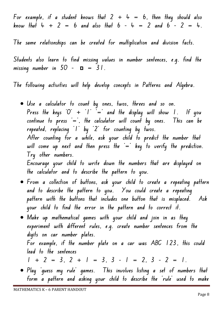**For example, if a student knows that 2 + 4 = 6, then they should also know that 4 + 2 = 6 and also that 6 – 4 = 2 and 6 – 2 = 4.**

**The same relationships can be created for multiplication and division facts.**

**Students also learn to find missing values in number sentences, e.g. find the**   $m$  issing number in  $50 - \mathbf{u} = 31$ .

**The following activities will help develop concepts in Patterns and Algebra.**

- **Use a calculator to count by ones, twos, threes and so on.**  Press the keys 'O'  $+$  'I'  $=$  and the display will show 1. If you **continue to press '=', the calculator will count by ones. This can be repeated, replacing '1' by '2' for counting by twos. After counting for a while, ask your child to predict the number that**  will come up next and then press the  $=$  key to verify the prediction. **Try other numbers. Encourage your child to write down the numbers that are displayed on the calculator and to describe the pattern to you.**
- **From a collection of buttons, ask your child to create a repeating pattern and to describe the pattern to you. You could create a repeating pattern with the buttons that includes one button that is misplaced. Ask your child to find the error in the pattern and to correct it.**
- **Make up mathematical games with your child and join in as they experiment with different rules, e.g. create number sentences from the digits on car number plates. For example, if the number plate on a car was ABC 123, this could lead to the sentences**  $1 + 2 = 3$ ,  $2 + 1 = 3$ ,  $3 - 1 = 2$ ,  $3 - 2 = 1$ .
- **Play 'guess my rule' games. This involves listing a set of numbers that form a pattern and asking your child to describe the 'rule' used to make**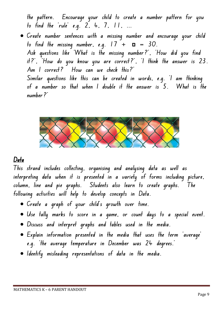**the pattern. Encourage your child to create a number pattern for you to find the 'rule' e.g. 2, 4, 7, 11, ...**

• **Create number sentences with a missing number and encourage your child to find the missing number, e.g.**  $17 + p = 30$ . **Ask questions like 'What is the missing number?', 'How did you find it?', 'How do you know you are correct?', 'I think the answer is 23. Am I correct? How can we check this?' Similar questions like this can be created in words, e.g. 'I am thinking of a number so that when I double it the answer is 5. What is the number?'**



## **Data**

**This strand includes collecting, organising and analysing data as well as interpreting data when it is presented in a variety of forms including picture, column, line and pie graphs. Students also learn to create graphs. The following activities will help to develop concepts in Data.**

- **Create a graph of your child's growth over time.**
- **Use tally marks to score in a game, or count days to a special event.**
- **Discuss and interpret graphs and tables used in the media.**
- **Explain information presented in the media that uses the term 'average' e.g. 'the average temperature in December was 24 degrees.'**
- **Identify misleading representations of data in the media.**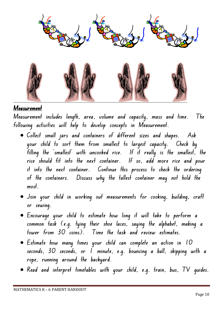

## **Measurement**

**Measurement includes length, area, volume and capacity, mass and time. The following activities will help to develop concepts in Measurement.**

- **Collect small jars and containers of different sizes and shapes. Ask your child to sort them from smallest to largest capacity. Check by filling the 'smallest' with uncooked rice. If it really is the smallest, the rice should fit into the next container. If so, add more rice and pour it into the next container. Continue this process to check the ordering of the containers. Discuss why the tallest container may not hold the most.**
- **Join your child in working out measurements for cooking, building, craft or sewing.**
- **Encourage your child to estimate how long it will take to perform a common task (e.g. tying their shoe laces, saying the alphabet, making a tower from 30 coins). Time the task and review estimates.**
- **Estimate how many times your child can complete an action in 10 seconds, 30 seconds, or 1 minute, e.g. bouncing a ball, skipping with a rope, running around the backyard.**
- **Read and interpret timetables with your child, e.g. train, bus, TV guides.**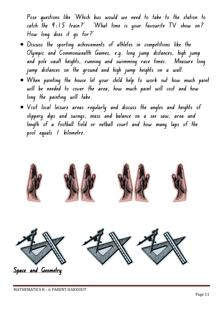**Pose questions like 'Which bus would we need to take to the station to catch the 9:15 train?' 'What time is your favourite TV show on? How long does it go for?'**

- **Discuss the sporting achievements of athletes in competitions like the Olympic and Commonwealth Games, e.g. long jump distances, high jump and pole vault heights, running and swimming race times. Measure long jump distances on the ground and high jump heights on a wall.**
- **When painting the house let your child help to work out how much paint will be needed to cover the area, how much paint will cost and how long the painting will take.**
- **Visit local leisure areas regularly and discuss the angles and heights of slippery dips and swings, mass and balance on a see saw, area and length of a football field or netball court and how many laps of the pool equals 1 kilometre.**